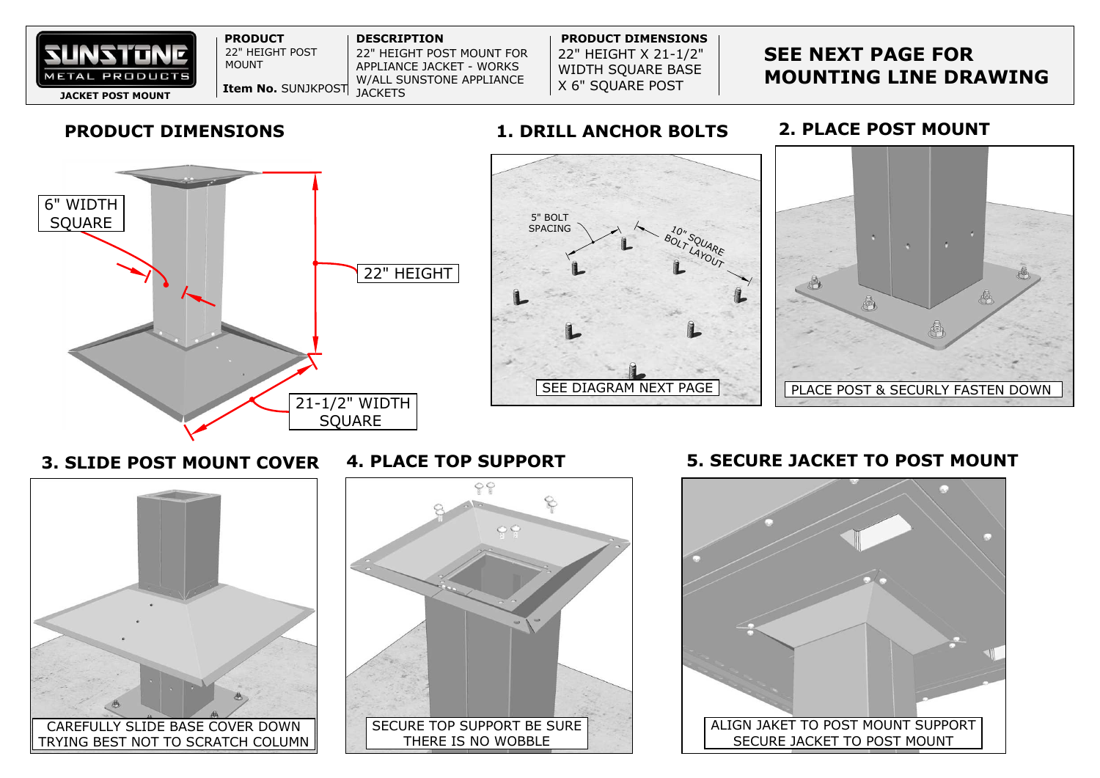

**3. SLIDE POST MOUNT COVER**

**4. PLACE TOP SUPPORT 5. SECURE JACKET TO POST MOUNT**

## **SEE NEXT PAGE FOR MOUNTING LINE DRAWING**



## **2. PLACE POST MOUNT**



CAREFULLY SLIDE BASE COVER DOWN TRYING BEST NOT TO SCRATCH COLUMN